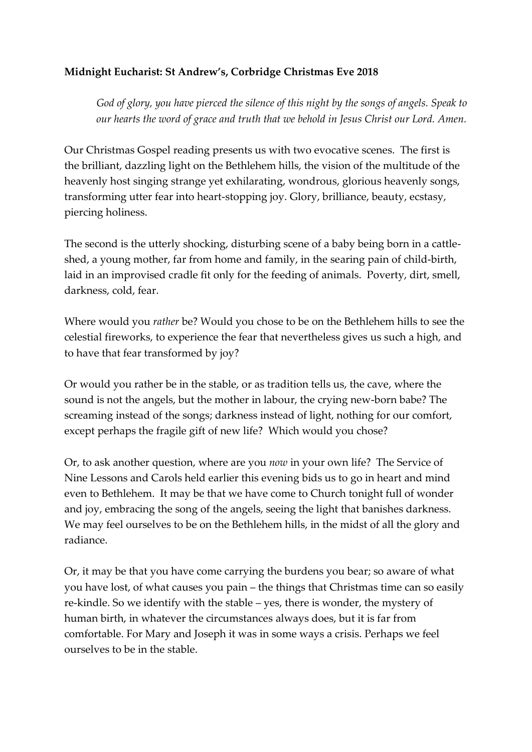## **Midnight Eucharist: St Andrew's, Corbridge Christmas Eve 2018**

*God of glory, you have pierced the silence of this night by the songs of angels. Speak to our hearts the word of grace and truth that we behold in Jesus Christ our Lord. Amen.*

Our Christmas Gospel reading presents us with two evocative scenes. The first is the brilliant, dazzling light on the Bethlehem hills, the vision of the multitude of the heavenly host singing strange yet exhilarating, wondrous, glorious heavenly songs, transforming utter fear into heart-stopping joy. Glory, brilliance, beauty, ecstasy, piercing holiness.

The second is the utterly shocking, disturbing scene of a baby being born in a cattleshed, a young mother, far from home and family, in the searing pain of child-birth, laid in an improvised cradle fit only for the feeding of animals. Poverty, dirt, smell, darkness, cold, fear.

Where would you *rather* be? Would you chose to be on the Bethlehem hills to see the celestial fireworks, to experience the fear that nevertheless gives us such a high, and to have that fear transformed by joy?

Or would you rather be in the stable, or as tradition tells us, the cave, where the sound is not the angels, but the mother in labour, the crying new-born babe? The screaming instead of the songs; darkness instead of light, nothing for our comfort, except perhaps the fragile gift of new life? Which would you chose?

Or, to ask another question, where are you *now* in your own life? The Service of Nine Lessons and Carols held earlier this evening bids us to go in heart and mind even to Bethlehem. It may be that we have come to Church tonight full of wonder and joy, embracing the song of the angels, seeing the light that banishes darkness. We may feel ourselves to be on the Bethlehem hills, in the midst of all the glory and radiance.

Or, it may be that you have come carrying the burdens you bear; so aware of what you have lost, of what causes you pain – the things that Christmas time can so easily re-kindle. So we identify with the stable – yes, there is wonder, the mystery of human birth, in whatever the circumstances always does, but it is far from comfortable. For Mary and Joseph it was in some ways a crisis. Perhaps we feel ourselves to be in the stable.